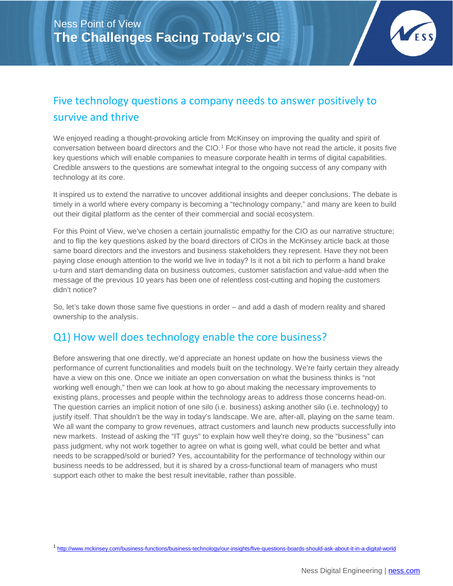

## Five technology questions a company needs to answer positively to survive and thrive

We enjoyed reading a thought-provoking article from McKinsey on improving the quality and spirit of conversation between board directors and the CIO.[1](#page-0-0) For those who have not read the article, it posits five key questions which will enable companies to measure corporate health in terms of digital capabilities. Credible answers to the questions are somewhat integral to the ongoing success of any company with technology at its core.

It inspired us to extend the narrative to uncover additional insights and deeper conclusions. The debate is timely in a world where every company is becoming a "technology company," and many are keen to build out their digital platform as the center of their commercial and social ecosystem.

For this Point of View, we've chosen a certain journalistic empathy for the CIO as our narrative structure; and to flip the key questions asked by the board directors of CIOs in the McKinsey article back at those same board directors and the investors and business stakeholders they represent. Have they not been paying close enough attention to the world we live in today? Is it not a bit rich to perform a hand brake u-turn and start demanding data on business outcomes, customer satisfaction and value-add when the message of the previous 10 years has been one of relentless cost-cutting and hoping the customers didn't notice?

So, let's take down those same five questions in order – and add a dash of modern reality and shared ownership to the analysis.

#### Q1) How well does technology enable the core business?

Before answering that one directly, we'd appreciate an honest update on how the business views the performance of current functionalities and models built on the technology. We're fairly certain they already have a view on this one. Once we initiate an open conversation on what the business thinks is "not working well enough," then we can look at how to go about making the necessary improvements to existing plans, processes and people within the technology areas to address those concerns head-on. The question carries an implicit notion of one silo (i.e. business) asking another silo (i.e. technology) to justify itself. That shouldn't be the way in today's landscape. We are, after-all, playing on the same team. We all want the company to grow revenues, attract customers and launch new products successfully into new markets. Instead of asking the "IT guys" to explain how well they're doing, so the "business" can pass judgment, why not work together to agree on what is going well, what could be better and what needs to be scrapped/sold or buried? Yes, accountability for the performance of technology within our business needs to be addressed, but it is shared by a cross-functional team of managers who must support each other to make the best result inevitable, rather than possible.

<span id="page-0-0"></span> <sup>1</sup> <http://www.mckinsey.com/business-functions/business-technology/our-insights/five-questions-boards-should-ask-about-it-in-a-digital-world>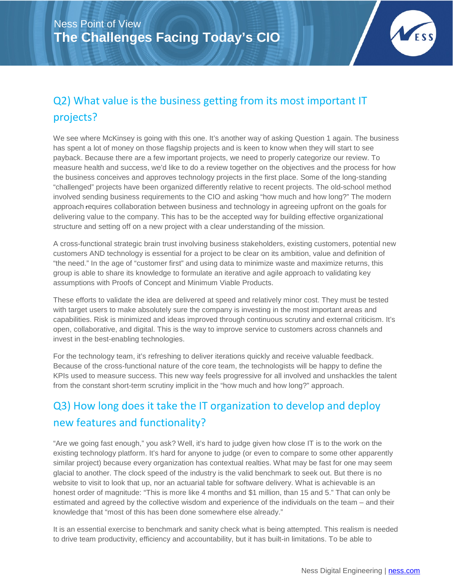

# Q2) What value is the business getting from its most important IT projects?

We see where McKinsey is going with this one. It's another way of asking Question 1 again. The business has spent a lot of money on those flagship projects and is keen to know when they will start to see payback. Because there are a few important projects, we need to properly categorize our review. To measure health and success, we'd like to do a review together on the objectives and the process for how the business conceives and approves technology projects in the first place. Some of the long-standing "challenged" projects have been organized differently relative to recent projects. The old-school method involved sending business requirements to the CIO and asking "how much and how long?" The modern approach requires collaboration between business and technology in agreeing upfront on the goals for delivering value to the company. This has to be the accepted way for building effective organizational structure and setting off on a new project with a clear understanding of the mission.

A cross-functional strategic brain trust involving business stakeholders, existing customers, potential new customers AND technology is essential for a project to be clear on its ambition, value and definition of "the need." In the age of "customer first" and using data to minimize waste and maximize returns, this group is able to share its knowledge to formulate an iterative and agile approach to validating key assumptions with Proofs of Concept and Minimum Viable Products.

These efforts to validate the idea are delivered at speed and relatively minor cost. They must be tested with target users to make absolutely sure the company is investing in the most important areas and capabilities. Risk is minimized and ideas improved through continuous scrutiny and external criticism. It's open, collaborative, and digital. This is the way to improve service to customers across channels and invest in the best-enabling technologies.

For the technology team, it's refreshing to deliver iterations quickly and receive valuable feedback. Because of the cross-functional nature of the core team, the technologists will be happy to define the KPIs used to measure success. This new way feels progressive for all involved and unshackles the talent from the constant short-term scrutiny implicit in the "how much and how long?" approach.

# Q3) How long does it take the IT organization to develop and deploy new features and functionality?

"Are we going fast enough," you ask? Well, it's hard to judge given how close IT is to the work on the existing technology platform. It's hard for anyone to judge (or even to compare to some other apparently similar project) because every organization has contextual realties. What may be fast for one may seem glacial to another. The clock speed of the industry is the valid benchmark to seek out. But there is no website to visit to look that up, nor an actuarial table for software delivery. What is achievable is an honest order of magnitude: "This is more like 4 months and \$1 million, than 15 and 5." That can only be estimated and agreed by the collective wisdom and experience of the individuals on the team – and their knowledge that "most of this has been done somewhere else already."

It is an essential exercise to benchmark and sanity check what is being attempted. This realism is needed to drive team productivity, efficiency and accountability, but it has built-in limitations. To be able to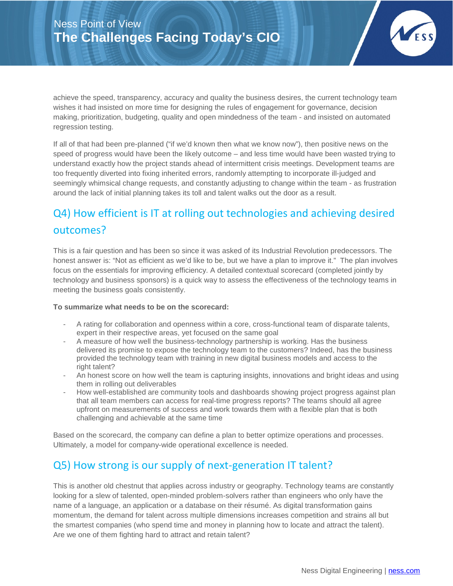

achieve the speed, transparency, accuracy and quality the business desires, the current technology team wishes it had insisted on more time for designing the rules of engagement for governance, decision making, prioritization, budgeting, quality and open mindedness of the team - and insisted on automated regression testing.

If all of that had been pre-planned ("if we'd known then what we know now"), then positive news on the speed of progress would have been the likely outcome – and less time would have been wasted trying to understand exactly how the project stands ahead of intermittent crisis meetings. Development teams are too frequently diverted into fixing inherited errors, randomly attempting to incorporate ill-judged and seemingly whimsical change requests, and constantly adjusting to change within the team - as frustration around the lack of initial planning takes its toll and talent walks out the door as a result.

# Q4) How efficient is IT at rolling out technologies and achieving desired outcomes?

This is a fair question and has been so since it was asked of its Industrial Revolution predecessors. The honest answer is: "Not as efficient as we'd like to be, but we have a plan to improve it." The plan involves focus on the essentials for improving efficiency. A detailed contextual scorecard (completed jointly by technology and business sponsors) is a quick way to assess the effectiveness of the technology teams in meeting the business goals consistently.

#### **To summarize what needs to be on the scorecard:**

- A rating for collaboration and openness within a core, cross-functional team of disparate talents, expert in their respective areas, yet focused on the same goal
- A measure of how well the business-technology partnership is working. Has the business delivered its promise to expose the technology team to the customers? Indeed, has the business provided the technology team with training in new digital business models and access to the right talent?
- An honest score on how well the team is capturing insights, innovations and bright ideas and using them in rolling out deliverables
- How well-established are community tools and dashboards showing project progress against plan that all team members can access for real-time progress reports? The teams should all agree upfront on measurements of success and work towards them with a flexible plan that is both challenging and achievable at the same time

Based on the scorecard, the company can define a plan to better optimize operations and processes. Ultimately, a model for company-wide operational excellence is needed.

### Q5) How strong is our supply of next-generation IT talent?

This is another old chestnut that applies across industry or geography. Technology teams are constantly looking for a slew of talented, open-minded problem-solvers rather than engineers who only have the name of a language, an application or a database on their résumé. As digital transformation gains momentum, the demand for talent across multiple dimensions increases competition and strains all but the smartest companies (who spend time and money in planning how to locate and attract the talent). Are we one of them fighting hard to attract and retain talent?